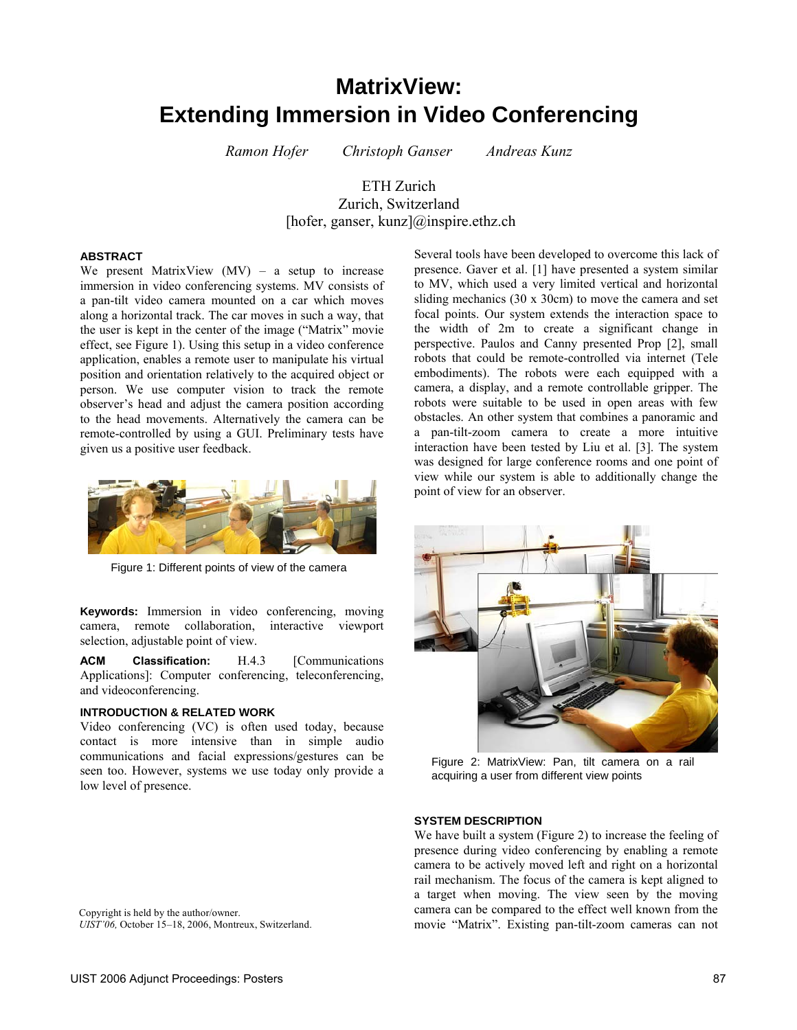# **MatrixView: Extending Immersion in Video Conferencing**

*Ramon Hofer Christoph Ganser Andreas Kunz* 

## ETH Zurich Zurich, Switzerland [hofer, ganser, kunz]@inspire.ethz.ch

#### **ABSTRACT**

We present MatrixView  $(MV)$  – a setup to increase immersion in video conferencing systems. MV consists of a pan-tilt video camera mounted on a car which moves along a horizontal track. The car moves in such a way, that the user is kept in the center of the image ("Matrix" movie effect, see Figure 1). Using this setup in a video conference application, enables a remote user to manipulate his virtual position and orientation relatively to the acquired object or person. We use computer vision to track the remote observer's head and adjust the camera position according to the head movements. Alternatively the camera can be remote-controlled by using a GUI. Preliminary tests have given us a positive user feedback.



Figure 1: Different points of view of the camera

**Keywords:** Immersion in video conferencing, moving camera, remote collaboration, interactive viewport selection, adjustable point of view.

**ACM Classification:** H.4.3 [Communications Applications]: Computer conferencing, teleconferencing, and videoconferencing.

#### **INTRODUCTION & RELATED WORK**

Video conferencing (VC) is often used today, because contact is more intensive than in simple audio communications and facial expressions/gestures can be seen too. However, systems we use today only provide a low level of presence.

Copyright is held by the author/owner. *UIST'06,* October 15–18, 2006, Montreux, Switzerland. Several tools have been developed to overcome this lack of presence. Gaver et al. [1] have presented a system similar to MV, which used a very limited vertical and horizontal sliding mechanics (30 x 30cm) to move the camera and set focal points. Our system extends the interaction space to the width of 2m to create a significant change in perspective. Paulos and Canny presented Prop [2], small robots that could be remote-controlled via internet (Tele embodiments). The robots were each equipped with a camera, a display, and a remote controllable gripper. The robots were suitable to be used in open areas with few obstacles. An other system that combines a panoramic and a pan-tilt-zoom camera to create a more intuitive interaction have been tested by Liu et al. [3]. The system was designed for large conference rooms and one point of view while our system is able to additionally change the point of view for an observer.



Figure 2: MatrixView: Pan, tilt camera on a rail acquiring a user from different view points

#### **SYSTEM DESCRIPTION**

We have built a system (Figure 2) to increase the feeling of presence during video conferencing by enabling a remote camera to be actively moved left and right on a horizontal rail mechanism. The focus of the camera is kept aligned to a target when moving. The view seen by the moving camera can be compared to the effect well known from the movie "Matrix". Existing pan-tilt-zoom cameras can not